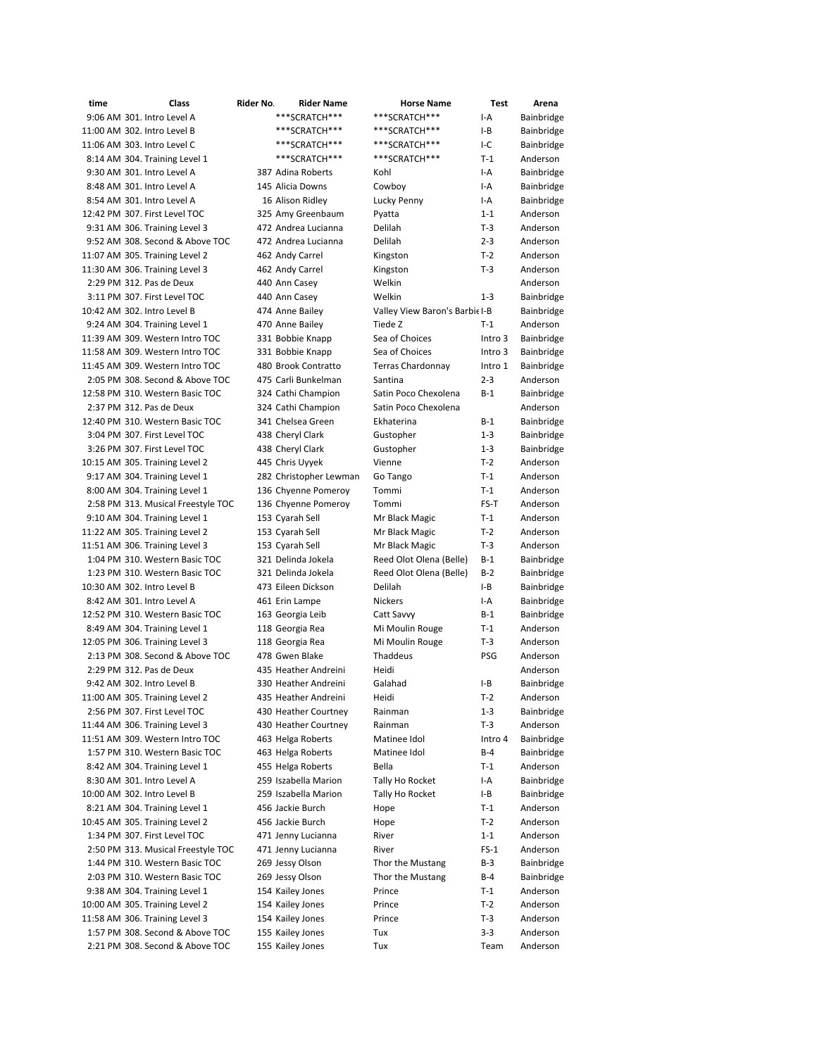| time                        | Class                              | Rider No | <b>Rider Name</b>      | <b>Horse Name</b>              | <b>Test</b> | Arena      |
|-----------------------------|------------------------------------|----------|------------------------|--------------------------------|-------------|------------|
|                             | 9:06 AM 301. Intro Level A         |          | ***SCRATCH***          | ***SCRATCH***                  | $I-A$       | Bainbridge |
| 11:00 AM 302. Intro Level B |                                    |          | ***SCRATCH***          | ***SCRATCH***                  | $I-B$       | Bainbridge |
| 11:06 AM 303. Intro Level C |                                    |          | ***SCRATCH***          | ***SCRATCH***                  | $I-C$       | Bainbridge |
|                             | 8:14 AM 304. Training Level 1      |          | ***SCRATCH***          | ***SCRATCH***                  | $T-1$       | Anderson   |
|                             | 9:30 AM 301. Intro Level A         |          | 387 Adina Roberts      | Kohl                           | $I-A$       | Bainbridge |
|                             | 8:48 AM 301. Intro Level A         |          | 145 Alicia Downs       | Cowboy                         | $I-A$       | Bainbridge |
|                             | 8:54 AM 301. Intro Level A         |          | 16 Alison Ridley       | Lucky Penny                    | I-A         | Bainbridge |
|                             | 12:42 PM 307. First Level TOC      |          | 325 Amy Greenbaum      |                                | $1 - 1$     | Anderson   |
|                             |                                    |          |                        | Pyatta                         |             |            |
|                             | 9:31 AM 306. Training Level 3      |          | 472 Andrea Lucianna    | Delilah                        | $T-3$       | Anderson   |
|                             | 9:52 AM 308. Second & Above TOC    |          | 472 Andrea Lucianna    | Delilah                        | $2 - 3$     | Anderson   |
|                             | 11:07 AM 305. Training Level 2     |          | 462 Andy Carrel        | Kingston                       | $T-2$       | Anderson   |
|                             | 11:30 AM 306. Training Level 3     |          | 462 Andy Carrel        | Kingston                       | $T-3$       | Anderson   |
| 2:29 PM 312. Pas de Deux    |                                    |          | 440 Ann Casey          | Welkin                         |             | Anderson   |
|                             | 3:11 PM 307. First Level TOC       |          | 440 Ann Casey          | Welkin                         | $1 - 3$     | Bainbridge |
| 10:42 AM 302. Intro Level B |                                    |          | 474 Anne Bailey        | Valley View Baron's Barbie I-B |             | Bainbridge |
|                             | 9:24 AM 304. Training Level 1      |          | 470 Anne Bailey        | Tiede Z                        | $T-1$       | Anderson   |
|                             | 11:39 AM 309. Western Intro TOC    |          | 331 Bobbie Knapp       | Sea of Choices                 | Intro 3     | Bainbridge |
|                             | 11:58 AM 309. Western Intro TOC    |          | 331 Bobbie Knapp       | Sea of Choices                 | Intro 3     | Bainbridge |
|                             | 11:45 AM 309. Western Intro TOC    |          | 480 Brook Contratto    | <b>Terras Chardonnay</b>       | Intro 1     | Bainbridge |
|                             | 2:05 PM 308. Second & Above TOC    |          | 475 Carli Bunkelman    | Santina                        | $2 - 3$     | Anderson   |
|                             | 12:58 PM 310. Western Basic TOC    |          | 324 Cathi Champion     | Satin Poco Chexolena           | $B-1$       | Bainbridge |
|                             | 2:37 PM 312. Pas de Deux           |          | 324 Cathi Champion     | Satin Poco Chexolena           |             | Anderson   |
|                             | 12:40 PM 310. Western Basic TOC    |          | 341 Chelsea Green      | Ekhaterina                     | $B-1$       | Bainbridge |
|                             | 3:04 PM 307. First Level TOC       |          | 438 Cheryl Clark       | Gustopher                      | $1 - 3$     | Bainbridge |
|                             | 3:26 PM 307. First Level TOC       |          | 438 Cheryl Clark       | Gustopher                      | 1-3         | Bainbridge |
|                             | 10:15 AM 305. Training Level 2     |          | 445 Chris Uyyek        | Vienne                         | $T-2$       | Anderson   |
|                             | 9:17 AM 304. Training Level 1      |          |                        |                                |             |            |
|                             |                                    |          | 282 Christopher Lewman | Go Tango                       | $T-1$       | Anderson   |
|                             | 8:00 AM 304. Training Level 1      |          | 136 Chyenne Pomeroy    | Tommi                          | $T-1$       | Anderson   |
|                             | 2:58 PM 313. Musical Freestyle TOC |          | 136 Chyenne Pomeroy    | Tommi                          | FS-T        | Anderson   |
|                             | 9:10 AM 304. Training Level 1      |          | 153 Cyarah Sell        | Mr Black Magic                 | $T-1$       | Anderson   |
|                             | 11:22 AM 305. Training Level 2     |          | 153 Cyarah Sell        | Mr Black Magic                 | $T-2$       | Anderson   |
|                             | 11:51 AM 306. Training Level 3     |          | 153 Cyarah Sell        | Mr Black Magic                 | $T-3$       | Anderson   |
|                             | 1:04 PM 310. Western Basic TOC     |          | 321 Delinda Jokela     | Reed Olot Olena (Belle)        | $B-1$       | Bainbridge |
|                             | 1:23 PM 310. Western Basic TOC     |          | 321 Delinda Jokela     | Reed Olot Olena (Belle)        | $B-2$       | Bainbridge |
| 10:30 AM 302. Intro Level B |                                    |          | 473 Eileen Dickson     | Delilah                        | $I-B$       | Bainbridge |
|                             | 8:42 AM 301. Intro Level A         |          | 461 Erin Lampe         | <b>Nickers</b>                 | I-A         | Bainbridge |
|                             | 12:52 PM 310. Western Basic TOC    |          | 163 Georgia Leib       | Catt Savvy                     | $B-1$       | Bainbridge |
|                             | 8:49 AM 304. Training Level 1      |          | 118 Georgia Rea        | Mi Moulin Rouge                | $T-1$       | Anderson   |
|                             | 12:05 PM 306. Training Level 3     |          | 118 Georgia Rea        | Mi Moulin Rouge                | $T-3$       | Anderson   |
|                             | 2:13 PM 308. Second & Above TOC    |          | 478 Gwen Blake         | Thaddeus                       | <b>PSG</b>  | Anderson   |
|                             | 2:29 PM 312. Pas de Deux           |          | 435 Heather Andreini   | Heidi                          |             | Anderson   |
|                             | 9:42 AM 302. Intro Level B         |          | 330 Heather Andreini   | Galahad                        | I-B         | Bainbridge |
|                             | 11:00 AM 305. Training Level 2     |          | 435 Heather Andreini   | Heidi                          | $T-2$       | Anderson   |
|                             | 2:56 PM 307. First Level TOC       |          | 430 Heather Courtney   | Rainman                        | 1-3         | Bainbridge |
|                             | 11:44 AM 306. Training Level 3     |          | 430 Heather Courtney   | Rainman                        | $T-3$       | Anderson   |
|                             | 11:51 AM 309. Western Intro TOC    |          | 463 Helga Roberts      | Matinee Idol                   | Intro 4     | Bainbridge |
|                             | 1:57 PM 310. Western Basic TOC     |          | 463 Helga Roberts      | Matinee Idol                   | $B-4$       | Bainbridge |
|                             | 8:42 AM 304. Training Level 1      |          | 455 Helga Roberts      | Bella                          | $T-1$       | Anderson   |
|                             | 8:30 AM 301. Intro Level A         |          | 259 Iszabella Marion   |                                | I-A         | Bainbridge |
|                             |                                    |          |                        | Tally Ho Rocket                |             |            |
| 10:00 AM 302. Intro Level B |                                    |          | 259 Iszabella Marion   | Tally Ho Rocket                | I-B         | Bainbridge |
|                             | 8:21 AM 304. Training Level 1      |          | 456 Jackie Burch       | Hope                           | $T-1$       | Anderson   |
|                             | 10:45 AM 305. Training Level 2     |          | 456 Jackie Burch       | Hope                           | $T-2$       | Anderson   |
|                             | 1:34 PM 307. First Level TOC       |          | 471 Jenny Lucianna     | River                          | $1 - 1$     | Anderson   |
|                             | 2:50 PM 313. Musical Freestyle TOC |          | 471 Jenny Lucianna     | River                          | $FS-1$      | Anderson   |
|                             | 1:44 PM 310. Western Basic TOC     |          | 269 Jessy Olson        | Thor the Mustang               | $B-3$       | Bainbridge |
|                             | 2:03 PM 310. Western Basic TOC     |          | 269 Jessy Olson        | Thor the Mustang               | B-4         | Bainbridge |
|                             | 9:38 AM 304. Training Level 1      |          | 154 Kailey Jones       | Prince                         | $T-1$       | Anderson   |
|                             | 10:00 AM 305. Training Level 2     |          | 154 Kailey Jones       | Prince                         | $T-2$       | Anderson   |
|                             | 11:58 AM 306. Training Level 3     |          | 154 Kailey Jones       | Prince                         | $T-3$       | Anderson   |
|                             | 1:57 PM 308. Second & Above TOC    |          | 155 Kailey Jones       | Tux                            | $3 - 3$     | Anderson   |
|                             | 2:21 PM 308. Second & Above TOC    |          | 155 Kailey Jones       | Tux                            | Team        | Anderson   |
|                             |                                    |          |                        |                                |             |            |